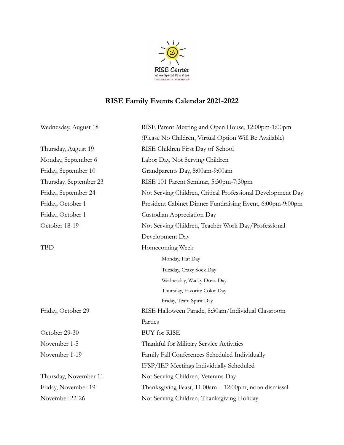

## **RISE Family Events Calendar 2021-2022**

| Wednesday, August 18   | RISE Parent Meeting and Open House, 12:00pm-1:00pm          |
|------------------------|-------------------------------------------------------------|
|                        | (Please No Children, Virtual Option Will Be Available)      |
| Thursday, August 19    | RISE Children First Day of School                           |
| Monday, September 6    | Labor Day, Not Serving Children                             |
| Friday, September 10   | Grandparents Day, 8:00am-9:00am                             |
| Thursday. September 23 | RISE 101 Parent Seminar, 5:30pm-7:30pm                      |
| Friday, September 24   | Not Serving Children, Critical Professional Development Day |
| Friday, October 1      | President Cabinet Dinner Fundraising Event, 6:00pm-9:00pm   |
| Friday, October 1      | Custodian Appreciation Day                                  |
| October 18-19          | Not Serving Children, Teacher Work Day/Professional         |
|                        | Development Day                                             |
| <b>TBD</b>             | Homecoming Week                                             |
|                        | Monday, Hat Day                                             |
|                        | Tuesday, Crazy Sock Day                                     |
|                        | Wednesday, Wacky Dress Day                                  |
|                        | Thursday, Favorite Color Day                                |
|                        | Friday, Team Spirit Day                                     |
| Friday, October 29     | RISE Halloween Parade, 8:30am/Individual Classroom          |
|                        | Parties                                                     |
| October 29-30          | <b>BUY</b> for RISE                                         |
| November 1-5           | Thankful for Military Service Activities                    |
| November 1-19          | Family Fall Conferences Scheduled Individually              |
|                        | IFSP/IEP Meetings Individually Scheduled                    |
| Thursday, November 11  | Not Serving Children, Veterans Day                          |
| Friday, November 19    | Thanksgiving Feast, 11:00am - 12:00pm, noon dismissal       |
| November 22-26         | Not Serving Children, Thanksgiving Holiday                  |
|                        |                                                             |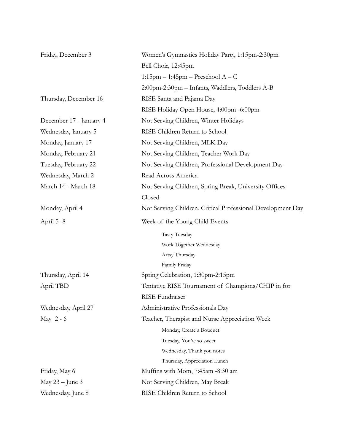| Friday, December 3      | Women's Gymnastics Holiday Party, 1:15pm-2:30pm             |
|-------------------------|-------------------------------------------------------------|
|                         | Bell Choir, 12:45pm                                         |
|                         | $1:15$ pm – $1:45$ pm – Preschool A – C                     |
|                         | 2:00pm-2:30pm - Infants, Waddlers, Toddlers A-B             |
| Thursday, December 16   | RISE Santa and Pajama Day                                   |
|                         | RISE Holiday Open House, 4:00pm -6:00pm                     |
| December 17 - January 4 | Not Serving Children, Winter Holidays                       |
| Wednesday, January 5    | RISE Children Return to School                              |
| Monday, January 17      | Not Serving Children, MLK Day                               |
| Monday, February 21     | Not Serving Children, Teacher Work Day                      |
| Tuesday, February 22    | Not Serving Children, Professional Development Day          |
| Wednesday, March 2      | Read Across America                                         |
| March 14 - March 18     | Not Serving Children, Spring Break, University Offices      |
|                         | Closed                                                      |
| Monday, April 4         | Not Serving Children, Critical Professional Development Day |
| April 5-8               | Week of the Young Child Events                              |
|                         | Tasty Tuesday                                               |
|                         | Work Together Wednesday                                     |
|                         | Artsy Thursday                                              |
|                         | Family Friday                                               |
| Thursday, April 14      | Spring Celebration, 1:30pm-2:15pm                           |
| April TBD               | Tentative RISE Tournament of Champions/CHIP in for          |
|                         | RISE Fundraiser                                             |
| Wednesday, April 27     | Administrative Professionals Day                            |
| May $2 - 6$             | Teacher, Therapist and Nurse Appreciation Week              |
|                         | Monday, Create a Bouquet                                    |
|                         | Tuesday, You're so sweet                                    |
|                         | Wednesday, Thank you notes                                  |
|                         | Thursday, Appreciation Lunch                                |
| Friday, May 6           | Muffins with Mom, 7:45am -8:30 am                           |
| May $23$ – June 3       | Not Serving Children, May Break                             |
| Wednesday, June 8       | RISE Children Return to School                              |